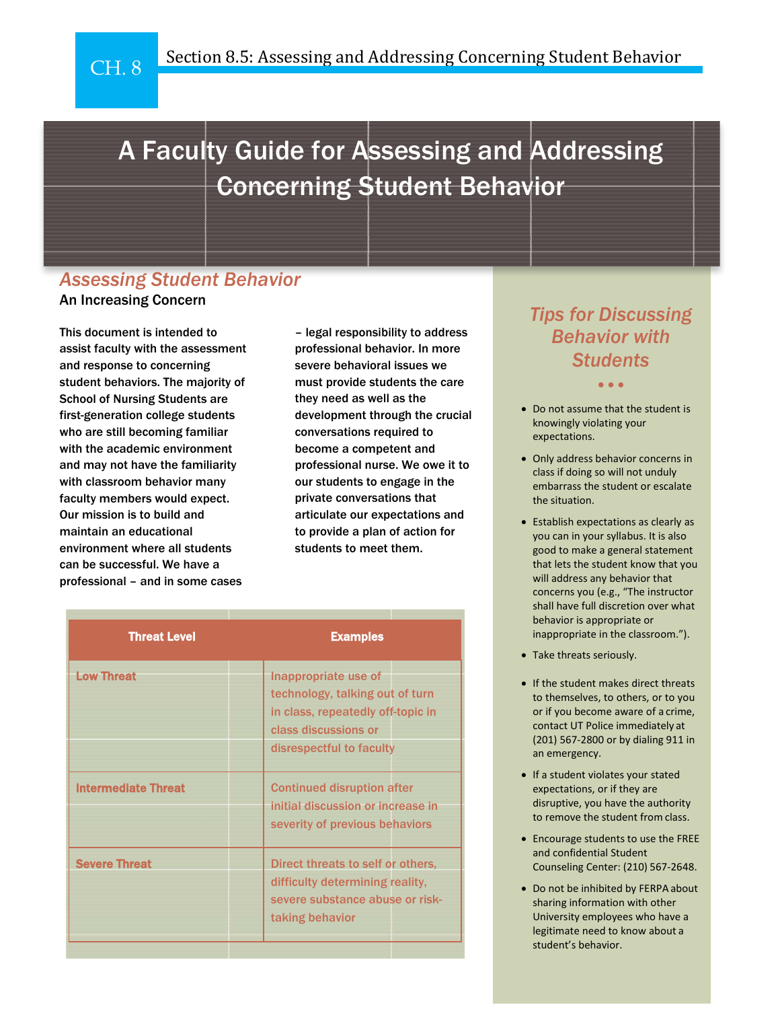# A Faculty Guide for Assessing and Addressing Concerning Student Behavior

### *Assessing Student Behavior* An Increasing Concern

This document is intended to assist faculty with the assessment and response to concerning student behaviors. The majority of School of Nursing Students are first-generation college students who are still becoming familiar with the academic environment and may not have the familiarity with classroom behavior many faculty members would expect. Our mission is to build and maintain an educational environment where all students can be successful. We have a professional – and in some cases

– legal responsibility to address professional behavior. In more severe behavioral issues we must provide students the care they need as well as the development through the crucial conversations required to become a competent and professional nurse. We owe it to our students to engage in the private conversations that articulate our expectations and to provide a plan of action for students to meet them.

| <b>Threat Level</b>        | <b>Examples</b>                                                                                                                                  |
|----------------------------|--------------------------------------------------------------------------------------------------------------------------------------------------|
| <b>Low Threat</b>          | Inappropriate use of<br>technology, talking out of turn<br>in class, repeatedly off-topic in<br>class discussions or<br>disrespectful to faculty |
| <b>Intermediate Threat</b> | <b>Continued disruption after</b><br>initial discussion or increase in<br>severity of previous behaviors                                         |
| <b>Severe Threat</b>       | Direct threats to self or others.<br>difficulty determining reality,<br>severe substance abuse or risk-<br>taking behavior                       |

# *Tips for Discussing Behavior with Students*

• • •

- Do not assume that the student is knowingly violating your expectations.
- Only address behavior concerns in class if doing so will not unduly embarrass the student or escalate the situation.
- Establish expectations as clearly as you can in your syllabus. It is also good to make a general statement that lets the student know that you will address any behavior that concerns you (e.g., "The instructor shall have full discretion over what behavior is appropriate or inappropriate in the classroom.").
- Take threats seriously.
- If the student makes direct threats to themselves, to others, or to you or if you become aware of a crime, contact UT Police immediately at (201) 567-2800 or by dialing 911 in an emergency.
- If a student violates your stated expectations, or if they are disruptive, you have the authority to remove the student from class.
- Encourage students to use the FREE and confidential Student Counseling Center: (210) 567-2648.
- Do not be inhibited by FERPA about sharing information with other University employees who have a legitimate need to know about a student's behavior.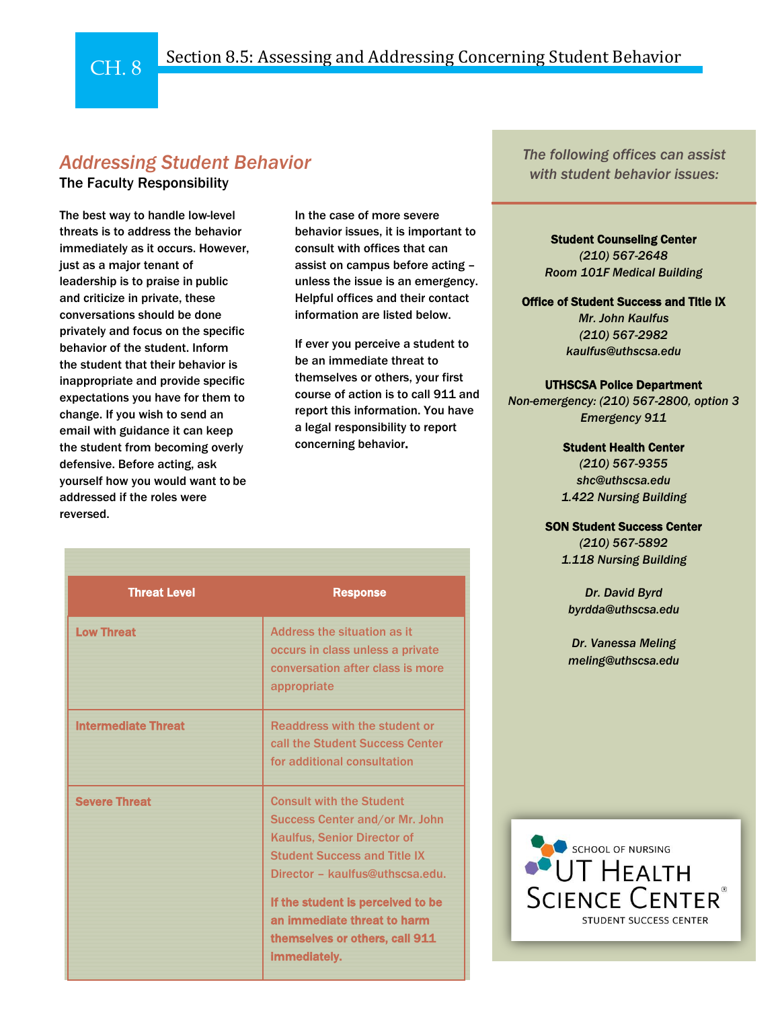## Section 8.5: Assessing and Addressing Concerning Student Behavior

# *Addressing Student Behavior*

### The Faculty Responsibility

 $CH 8$ 

The best way to handle low-level threats is to address the behavior immediately as it occurs. However, just as a major tenant of leadership is to praise in public and criticize in private, these conversations should be done privately and focus on the specific behavior of the student. Inform the student that their behavior is inappropriate and provide specific expectations you have for them to change. If you wish to send an email with guidance it can keep the student from becoming overly defensive. Before acting, ask yourself how you would want to be addressed if the roles were reversed.

In the case of more severe behavior issues, it is important to consult with offices that can assist on campus before acting – unless the issue is an emergency. Helpful offices and their contact information are listed below.

If ever you perceive a student to be an immediate threat to themselves or others, your first course of action is to call 911 and report this information. You have a legal responsibility to report concerning behavior.

| <b>Threat Level</b>        | <b>Response</b>                                                                                                                                                                                                                                                                                                |
|----------------------------|----------------------------------------------------------------------------------------------------------------------------------------------------------------------------------------------------------------------------------------------------------------------------------------------------------------|
| <b>Low Threat</b>          | Address the situation as it<br>occurs in class unless a private<br>conversation after class is more<br>appropriate                                                                                                                                                                                             |
| <b>Intermediate Threat</b> | Readdress with the student or<br>call the Student Success Center<br>for additional consultation                                                                                                                                                                                                                |
| <b>Severe Threat</b>       | <b>Consult with the Student</b><br>Success Center and/or Mr. John<br><b>Kaulfus, Senior Director of</b><br><b>Student Success and Title IX</b><br>Director - kaulfus@uthscsa.edu.<br>If the student is perceived to be<br>an immediate threat to harm<br>themselves or others, call 911<br><i>immediatelv.</i> |

*The following offices can assist with student behavior issues:*

> Student Counseling Center *(210) 567-2648 Room 101F Medical Building*

Office of Student Success and Title IX

*Mr. John Kaulfus (210) 567-2982 [kaulfus@uthscsa.edu](mailto:kaulfus@uthscsa.edu)*

#### UTHSCSA Police Department

*Non-emergency: (210) 567-2800, option 3 Emergency 911*

Student Health Center

*(210) 567-9355 [shc@uthscsa.edu](mailto:shc@uthscsa.edu) 1.422 Nursing Building*

#### SON Student Success Center

*(210) 567-5892 1.118 Nursing Building*

*Dr. David Byrd [byrdda@uthscsa.edu](mailto:byrdda@uthscsa.edu)*

*Dr. Vanessa Meling [meling@uthscsa.edu](mailto:meling@uthscsa.edu)*